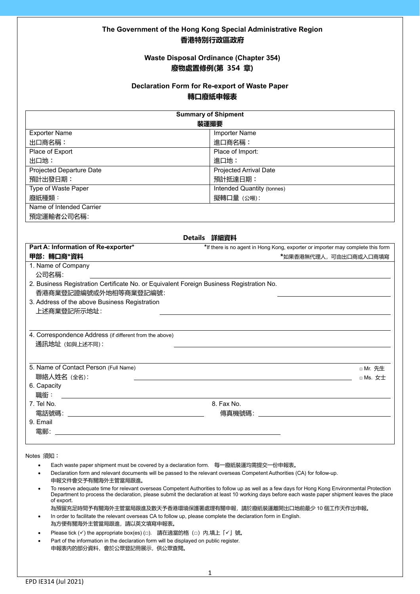## **The Government of the Hong Kong Special Administrative Region 香港特別行政區政府**

### **Waste Disposal Ordinance (Chapter 354) 廢物處置條例(第 354 章)**

#### **Declaration Form for Re-export of Waste Paper 轉口廢紙申報表**

| <b>Summary of Shipment</b>                                                               |                                                                                 |  |  |
|------------------------------------------------------------------------------------------|---------------------------------------------------------------------------------|--|--|
| 装運撮要                                                                                     |                                                                                 |  |  |
| <b>Exporter Name</b>                                                                     | <b>Importer Name</b>                                                            |  |  |
| 出口商名稱:                                                                                   | 進口商名稱:                                                                          |  |  |
| Place of Export                                                                          | Place of Import:                                                                |  |  |
| 出口地:                                                                                     | 進口地:                                                                            |  |  |
| <b>Projected Departure Date</b>                                                          | <b>Projected Arrival Date</b>                                                   |  |  |
| 預計出發日期:                                                                                  | 預計抵達日期:                                                                         |  |  |
| Type of Waste Paper                                                                      | <b>Intended Quantity (tonnes)</b>                                               |  |  |
| 廢紙種類:                                                                                    | 擬轉口量 (公噸):                                                                      |  |  |
| Name of Intended Carrier                                                                 |                                                                                 |  |  |
| 預定運輸者公司名稱:                                                                               |                                                                                 |  |  |
|                                                                                          |                                                                                 |  |  |
|                                                                                          | Details 詳細資料                                                                    |  |  |
| Part A: Information of Re-exporter*                                                      | *If there is no agent in Hong Kong, exporter or importer may complete this form |  |  |
| 甲部: 轉口商*資料                                                                               | *如果香港無代理人,可由出口商或入口商填寫                                                           |  |  |
| 1. Name of Company                                                                       |                                                                                 |  |  |
| 公司名稱:                                                                                    |                                                                                 |  |  |
| 2. Business Registration Certificate No. or Equivalent Foreign Business Registration No. |                                                                                 |  |  |
| 香港商業登記證編號或外地相等商業登記編號:                                                                    |                                                                                 |  |  |
| 3. Address of the above Business Registration                                            |                                                                                 |  |  |
| 上述商業登記所示地址:                                                                              |                                                                                 |  |  |
|                                                                                          |                                                                                 |  |  |
| 4. Correspondence Address (if different from the above)                                  |                                                                                 |  |  |
| 通訊地址 (如與上述不同):                                                                           |                                                                                 |  |  |
|                                                                                          |                                                                                 |  |  |
|                                                                                          |                                                                                 |  |  |
| 5. Name of Contact Person (Full Name)                                                    | □ Mr. 先生                                                                        |  |  |
| 聯絡人姓名 (全名):                                                                              | □ Ms. 女士                                                                        |  |  |
| 6. Capacity                                                                              |                                                                                 |  |  |
| 職銜:                                                                                      |                                                                                 |  |  |
| 7. Tel No.                                                                               | 8. Fax No.                                                                      |  |  |
| 9. Email                                                                                 | 傳真機號碼: いっこう しゅうしょう しんしゅう しんしゅう                                                  |  |  |
| 電郵:                                                                                      |                                                                                 |  |  |
|                                                                                          |                                                                                 |  |  |
| $\sqrt{1 + 4a}$                                                                          |                                                                                 |  |  |

Notes 須知︰

- Each waste paper shipment must be covered by a declaration form. 每一廢紙裝運均需提交一份申報表。
- Declaration form and relevant documents will be passed to the relevant overseas Competent Authorities (CA) for follow-up. 申報文件會交予有關海外主管當局跟進。
- To reserve adequate time for relevant overseas Competent Authorities to follow up as well as a few days for Hong Kong Environmental Protection Department to process the declaration, please submit the declaration at least 10 working days before each waste paper shipment leaves the place of export.

為預留充足時間予有關海外主管當局跟進及數天予香港環境保護署處理有關申報,請於廢紙裝運離開出口地前最少 10 個工作天作出申報。 • In order to facilitate the relevant overseas CA to follow up, please complete the declaration form in English.

- 為方便有關海外主管當局跟進,請以英文填寫申報表。
- Please tick (√) the appropriate box(es) (□). 請在適當的格(□)内,填上「√」號。
- Part of the information in the declaration form will be displayed on public register. 申報表內的部分資料,會於公眾登記冊展示,供公眾查閱。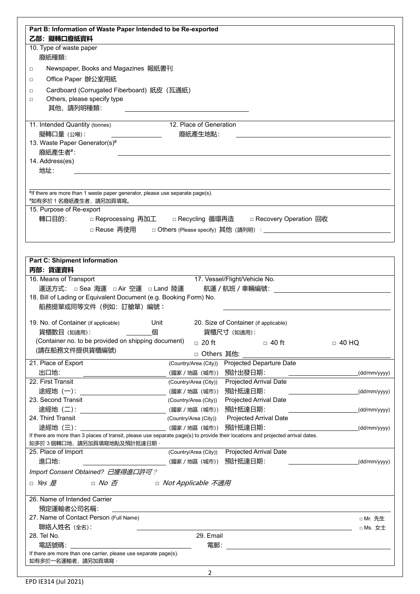| Part B: Information of Waste Paper Intended to be Re-exported                                                                                                                                                                                                                                                                                                                                                              |                         |                                                                    |                                                                                                       |
|----------------------------------------------------------------------------------------------------------------------------------------------------------------------------------------------------------------------------------------------------------------------------------------------------------------------------------------------------------------------------------------------------------------------------|-------------------------|--------------------------------------------------------------------|-------------------------------------------------------------------------------------------------------|
| 乙部: 擬轉口廢紙資料                                                                                                                                                                                                                                                                                                                                                                                                                |                         |                                                                    |                                                                                                       |
| 10. Type of waste paper                                                                                                                                                                                                                                                                                                                                                                                                    |                         |                                                                    |                                                                                                       |
| 廢紙種類:                                                                                                                                                                                                                                                                                                                                                                                                                      |                         |                                                                    |                                                                                                       |
|                                                                                                                                                                                                                                                                                                                                                                                                                            |                         |                                                                    |                                                                                                       |
| Newspaper, Books and Magazines 報紙書刊<br>$\Box$                                                                                                                                                                                                                                                                                                                                                                              |                         |                                                                    |                                                                                                       |
| Office Paper 辦公室用紙<br>$\Box$                                                                                                                                                                                                                                                                                                                                                                                               |                         |                                                                    |                                                                                                       |
| Cardboard (Corrugated Fiberboard) 紙皮 (瓦通紙)<br>$\Box$                                                                                                                                                                                                                                                                                                                                                                       |                         |                                                                    |                                                                                                       |
| Others, please specify type<br>$\Box$                                                                                                                                                                                                                                                                                                                                                                                      |                         |                                                                    |                                                                                                       |
| 其他,請列明種類:                                                                                                                                                                                                                                                                                                                                                                                                                  |                         |                                                                    |                                                                                                       |
| 11. Intended Quantity (tonnes)                                                                                                                                                                                                                                                                                                                                                                                             | 12. Place of Generation |                                                                    |                                                                                                       |
| 擬轉口量 (公噸):                                                                                                                                                                                                                                                                                                                                                                                                                 | 廢紙產生地點:                 |                                                                    |                                                                                                       |
| 13. Waste Paper Generator(s)#                                                                                                                                                                                                                                                                                                                                                                                              |                         |                                                                    |                                                                                                       |
| 廢紙產生者#:                                                                                                                                                                                                                                                                                                                                                                                                                    |                         |                                                                    |                                                                                                       |
| 14. Address(es)                                                                                                                                                                                                                                                                                                                                                                                                            |                         |                                                                    |                                                                                                       |
| 地址:                                                                                                                                                                                                                                                                                                                                                                                                                        |                         |                                                                    |                                                                                                       |
|                                                                                                                                                                                                                                                                                                                                                                                                                            |                         |                                                                    |                                                                                                       |
|                                                                                                                                                                                                                                                                                                                                                                                                                            |                         |                                                                    |                                                                                                       |
| #If there are more than 1 waste paper generator, please use separate page(s).<br>*如有多於 1 名廢紙產生者,請另加頁填寫。                                                                                                                                                                                                                                                                                                                    |                         |                                                                    |                                                                                                       |
| 15. Purpose of Re-export                                                                                                                                                                                                                                                                                                                                                                                                   |                         |                                                                    |                                                                                                       |
| 轉口目的:                                                                                                                                                                                                                                                                                                                                                                                                                      |                         | □ Reprocessing  再加エ   □ Recycling  循環再造   □ Recovery Operation  回收 |                                                                                                       |
| □ Reuse 再使用                                                                                                                                                                                                                                                                                                                                                                                                                |                         |                                                                    |                                                                                                       |
|                                                                                                                                                                                                                                                                                                                                                                                                                            |                         |                                                                    |                                                                                                       |
|                                                                                                                                                                                                                                                                                                                                                                                                                            |                         |                                                                    |                                                                                                       |
|                                                                                                                                                                                                                                                                                                                                                                                                                            |                         |                                                                    |                                                                                                       |
| <b>Part C: Shipment Information</b>                                                                                                                                                                                                                                                                                                                                                                                        |                         |                                                                    |                                                                                                       |
| 丙部:貨運資料                                                                                                                                                                                                                                                                                                                                                                                                                    |                         |                                                                    |                                                                                                       |
| 16. Means of Transport                                                                                                                                                                                                                                                                                                                                                                                                     |                         | 17. Vessel/Flight/Vehicle No.                                      |                                                                                                       |
| 運送方式: □ Sea 海運 □ Air 空運 □ Land 陸運                                                                                                                                                                                                                                                                                                                                                                                          |                         |                                                                    |                                                                                                       |
|                                                                                                                                                                                                                                                                                                                                                                                                                            |                         |                                                                    |                                                                                                       |
| 18. Bill of Lading or Equivalent Document (e.g. Booking Form) No.                                                                                                                                                                                                                                                                                                                                                          |                         |                                                                    |                                                                                                       |
| 船務提單或同等文件 (例如: 訂艙單) 編號:                                                                                                                                                                                                                                                                                                                                                                                                    |                         |                                                                    |                                                                                                       |
|                                                                                                                                                                                                                                                                                                                                                                                                                            |                         |                                                                    |                                                                                                       |
|                                                                                                                                                                                                                                                                                                                                                                                                                            | Unit                    | 20. Size of Container (if applicable)                              |                                                                                                       |
| 貨櫃數目 (如適用):                                                                                                                                                                                                                                                                                                                                                                                                                | 個                       | 貨櫃尺寸 (如適用):                                                        |                                                                                                       |
| (Container no. to be provided on shipping document)                                                                                                                                                                                                                                                                                                                                                                        | $\Box$ 20 ft            | □ 40 ft                                                            | $\Box$ 40 HQ                                                                                          |
| (請在船務文件提供貨櫃編號)                                                                                                                                                                                                                                                                                                                                                                                                             | □ Others 其他:            |                                                                    |                                                                                                       |
|                                                                                                                                                                                                                                                                                                                                                                                                                            |                         | (Country/Area (City)) Projected Departure Date                     |                                                                                                       |
| 出口地:                                                                                                                                                                                                                                                                                                                                                                                                                       | (國家/地區 (城市)) 預計出發日期:    |                                                                    |                                                                                                       |
| <u> 1989 - Johann Stein, fransk politik (</u>                                                                                                                                                                                                                                                                                                                                                                              |                         | (Country/Area (City)) Projected Arrival Date                       |                                                                                                       |
| 途經地 (一): __________________________________(國家 / 地區 (城市))                                                                                                                                                                                                                                                                                                                                                                  |                         | 預計抵達日期:                                                            |                                                                                                       |
|                                                                                                                                                                                                                                                                                                                                                                                                                            | (Country/Area (City))   | Projected Arrival Date                                             |                                                                                                       |
| 途經地 (二): _________________________________(國家 / 地區 (城市))    預計抵達日期:                                                                                                                                                                                                                                                                                                                                                        |                         |                                                                    |                                                                                                       |
|                                                                                                                                                                                                                                                                                                                                                                                                                            | (Country/Area (City))   | Projected Arrival Date                                             |                                                                                                       |
| 19. No. of Container (if applicable)<br>途經地 (三): __________________________________(國家/地區 (城市)) 預計抵達日期:                                                                                                                                                                                                                                                                                                                    |                         |                                                                    |                                                                                                       |
|                                                                                                                                                                                                                                                                                                                                                                                                                            |                         |                                                                    |                                                                                                       |
|                                                                                                                                                                                                                                                                                                                                                                                                                            |                         |                                                                    |                                                                                                       |
|                                                                                                                                                                                                                                                                                                                                                                                                                            |                         | (Country/Area (City)) Projected Arrival Date                       |                                                                                                       |
| 進口地:                                                                                                                                                                                                                                                                                                                                                                                                                       |                         |                                                                    |                                                                                                       |
|                                                                                                                                                                                                                                                                                                                                                                                                                            |                         |                                                                    |                                                                                                       |
| □ <i>No  否</i> □ <i>Not Applicable  不適用</i>                                                                                                                                                                                                                                                                                                                                                                                |                         |                                                                    |                                                                                                       |
|                                                                                                                                                                                                                                                                                                                                                                                                                            |                         |                                                                    |                                                                                                       |
|                                                                                                                                                                                                                                                                                                                                                                                                                            |                         |                                                                    |                                                                                                       |
| 預定運輸者公司名稱:                                                                                                                                                                                                                                                                                                                                                                                                                 |                         |                                                                    |                                                                                                       |
|                                                                                                                                                                                                                                                                                                                                                                                                                            |                         |                                                                    | □ Mr. 先生                                                                                              |
| 聯絡人姓名 (全名):                                                                                                                                                                                                                                                                                                                                                                                                                |                         |                                                                    | □ Ms. 女士                                                                                              |
| 21. Place of Export<br>22. First Transit<br>23. Second Transit<br>24. Third Transit<br>If there are more than 3 places of transit, please use separate page(s) to provide their locations and projected arrival dates.<br>如多於3個轉口地,請另加頁填寫地點及預計抵達日期。<br>25. Place of Import<br>Import Consent Obtained? 已獲得進口許可?<br>$\Box$ Yes $E$<br>26. Name of Intended Carrier<br>27. Name of Contact Person (Full Name)<br>28. Tel No. | 29. Email               |                                                                    | (dd/mm/yyyy)<br>(dd/mm/yyyy)<br>$\overline{\phantom{a}}$ (dd/mm/yyyy)<br>(dd/mm/yyyy)<br>(dd/mm/yyyy) |
| 電話號碼:                                                                                                                                                                                                                                                                                                                                                                                                                      |                         |                                                                    |                                                                                                       |
| If there are more than one carrier, please use separate page(s).<br>如有多於一名運輸者,請另加頁填寫。                                                                                                                                                                                                                                                                                                                                      |                         |                                                                    |                                                                                                       |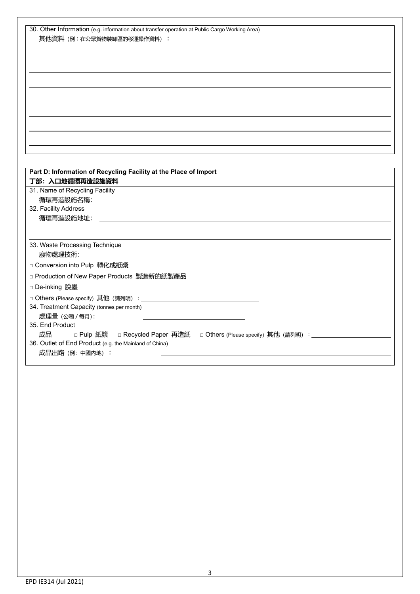| 30. Other Information (e.g. information about transfer operation at Public Cargo Working Area) |
|------------------------------------------------------------------------------------------------|
| 其他資料 (例:在公眾貨物裝卸區的移運操作資料):                                                                      |
|                                                                                                |
|                                                                                                |
|                                                                                                |
|                                                                                                |
|                                                                                                |
|                                                                                                |
|                                                                                                |
|                                                                                                |
|                                                                                                |
|                                                                                                |
|                                                                                                |
|                                                                                                |
|                                                                                                |
| Part D: Information of Recycling Facility at the Place of Import<br>丁部: 入口地循環再造設施資料            |
| 31. Name of Recycling Facility                                                                 |
| 循環再造設施名稱:                                                                                      |
| 32. Facility Address                                                                           |
| 循環再造設施地址:                                                                                      |
|                                                                                                |
|                                                                                                |
| 33. Waste Processing Technique                                                                 |
| 廢物處理技術:                                                                                        |
| □ Conversion into Pulp 轉化成紙漿                                                                   |
| □ Production of New Paper Products 製造新的紙製產品                                                    |
|                                                                                                |
| □ De-inking 脫墨                                                                                 |
|                                                                                                |
| 34. Treatment Capacity (tonnes per month)                                                      |
| 處理量 (公噸 / 每月):                                                                                 |
| 35. End Product                                                                                |
| 成品<br>□ Pulp 紙漿  □ Recycled Paper 再造紙  □ Others (Please specify) 其他 (請列明) :___________         |
| 36. Outlet of End Product (e.g. the Mainland of China)                                         |
| 成品出路 (例: 中國内地):                                                                                |
|                                                                                                |